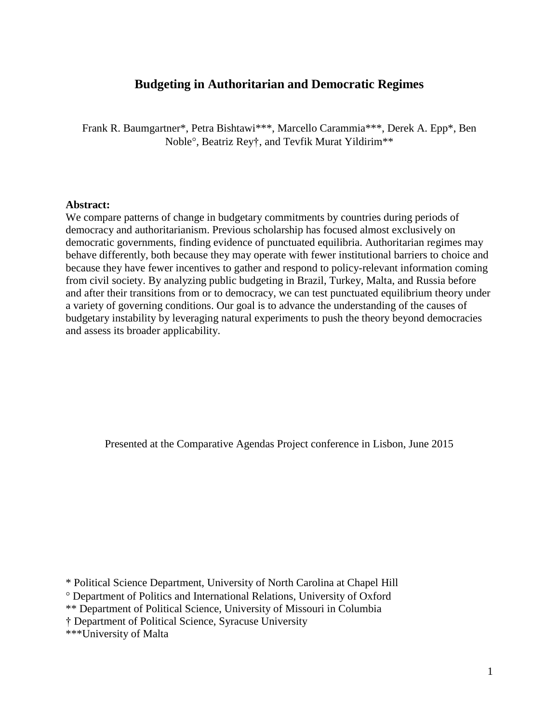# **Budgeting in Authoritarian and Democratic Regimes**

Frank R. Baumgartner\*, Petra Bishtawi\*\*\*, Marcello Carammia\*\*\*, Derek A. Epp\*, Ben Noble, Beatriz Rey†, and Tevfik Murat Yildirim\*\*

#### **Abstract:**

We compare patterns of change in budgetary commitments by countries during periods of democracy and authoritarianism. Previous scholarship has focused almost exclusively on democratic governments, finding evidence of punctuated equilibria. Authoritarian regimes may behave differently, both because they may operate with fewer institutional barriers to choice and because they have fewer incentives to gather and respond to policy-relevant information coming from civil society. By analyzing public budgeting in Brazil, Turkey, Malta, and Russia before and after their transitions from or to democracy, we can test punctuated equilibrium theory under a variety of governing conditions. Our goal is to advance the understanding of the causes of budgetary instability by leveraging natural experiments to push the theory beyond democracies and assess its broader applicability.

Presented at the Comparative Agendas Project conference in Lisbon, June 2015

\* Political Science Department, University of North Carolina at Chapel Hill

Department of Politics and International Relations, University of Oxford

\*\* Department of Political Science, University of Missouri in Columbia

† Department of Political Science, Syracuse University

\*\*\*University of Malta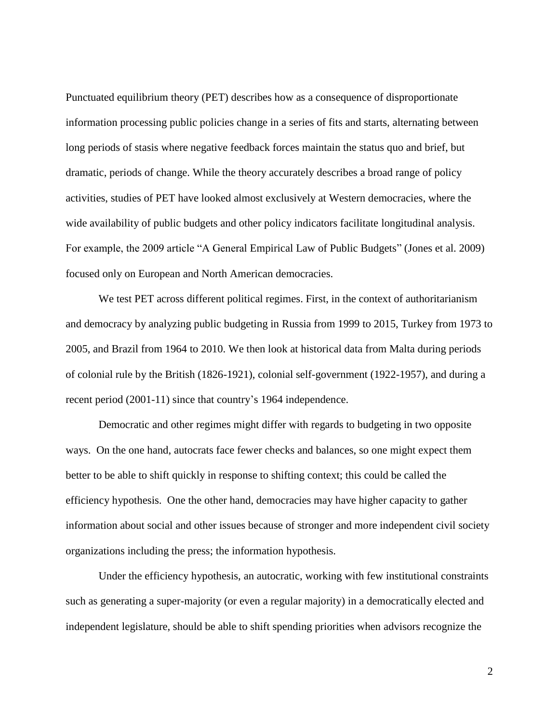Punctuated equilibrium theory (PET) describes how as a consequence of disproportionate information processing public policies change in a series of fits and starts, alternating between long periods of stasis where negative feedback forces maintain the status quo and brief, but dramatic, periods of change. While the theory accurately describes a broad range of policy activities, studies of PET have looked almost exclusively at Western democracies, where the wide availability of public budgets and other policy indicators facilitate longitudinal analysis. For example, the 2009 article "A General Empirical Law of Public Budgets" (Jones et al. 2009) focused only on European and North American democracies.

We test PET across different political regimes. First, in the context of authoritarianism and democracy by analyzing public budgeting in Russia from 1999 to 2015, Turkey from 1973 to 2005, and Brazil from 1964 to 2010. We then look at historical data from Malta during periods of colonial rule by the British (1826-1921), colonial self-government (1922-1957), and during a recent period (2001-11) since that country's 1964 independence.

Democratic and other regimes might differ with regards to budgeting in two opposite ways. On the one hand, autocrats face fewer checks and balances, so one might expect them better to be able to shift quickly in response to shifting context; this could be called the efficiency hypothesis. One the other hand, democracies may have higher capacity to gather information about social and other issues because of stronger and more independent civil society organizations including the press; the information hypothesis.

Under the efficiency hypothesis, an autocratic, working with few institutional constraints such as generating a super-majority (or even a regular majority) in a democratically elected and independent legislature, should be able to shift spending priorities when advisors recognize the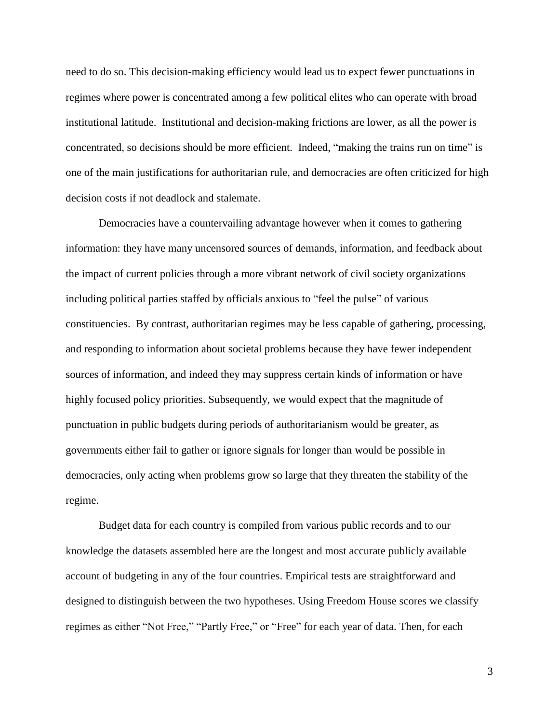need to do so. This decision-making efficiency would lead us to expect fewer punctuations in regimes where power is concentrated among a few political elites who can operate with broad institutional latitude. Institutional and decision-making frictions are lower, as all the power is concentrated, so decisions should be more efficient. Indeed, "making the trains run on time" is one of the main justifications for authoritarian rule, and democracies are often criticized for high decision costs if not deadlock and stalemate.

Democracies have a countervailing advantage however when it comes to gathering information: they have many uncensored sources of demands, information, and feedback about the impact of current policies through a more vibrant network of civil society organizations including political parties staffed by officials anxious to "feel the pulse" of various constituencies. By contrast, authoritarian regimes may be less capable of gathering, processing, and responding to information about societal problems because they have fewer independent sources of information, and indeed they may suppress certain kinds of information or have highly focused policy priorities. Subsequently, we would expect that the magnitude of punctuation in public budgets during periods of authoritarianism would be greater, as governments either fail to gather or ignore signals for longer than would be possible in democracies, only acting when problems grow so large that they threaten the stability of the regime.

Budget data for each country is compiled from various public records and to our knowledge the datasets assembled here are the longest and most accurate publicly available account of budgeting in any of the four countries. Empirical tests are straightforward and designed to distinguish between the two hypotheses. Using Freedom House scores we classify regimes as either "Not Free," "Partly Free," or "Free" for each year of data. Then, for each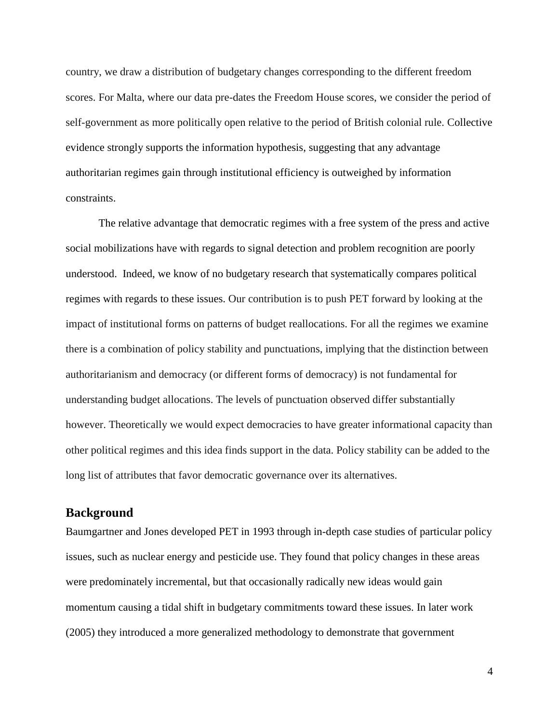country, we draw a distribution of budgetary changes corresponding to the different freedom scores. For Malta, where our data pre-dates the Freedom House scores, we consider the period of self-government as more politically open relative to the period of British colonial rule. Collective evidence strongly supports the information hypothesis, suggesting that any advantage authoritarian regimes gain through institutional efficiency is outweighed by information constraints.

The relative advantage that democratic regimes with a free system of the press and active social mobilizations have with regards to signal detection and problem recognition are poorly understood. Indeed, we know of no budgetary research that systematically compares political regimes with regards to these issues. Our contribution is to push PET forward by looking at the impact of institutional forms on patterns of budget reallocations. For all the regimes we examine there is a combination of policy stability and punctuations, implying that the distinction between authoritarianism and democracy (or different forms of democracy) is not fundamental for understanding budget allocations. The levels of punctuation observed differ substantially however. Theoretically we would expect democracies to have greater informational capacity than other political regimes and this idea finds support in the data. Policy stability can be added to the long list of attributes that favor democratic governance over its alternatives.

# **Background**

Baumgartner and Jones developed PET in 1993 through in-depth case studies of particular policy issues, such as nuclear energy and pesticide use. They found that policy changes in these areas were predominately incremental, but that occasionally radically new ideas would gain momentum causing a tidal shift in budgetary commitments toward these issues. In later work (2005) they introduced a more generalized methodology to demonstrate that government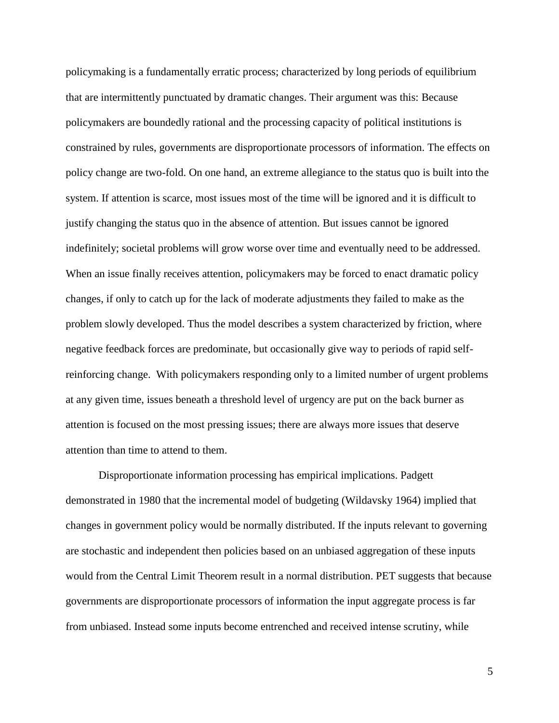policymaking is a fundamentally erratic process; characterized by long periods of equilibrium that are intermittently punctuated by dramatic changes. Their argument was this: Because policymakers are boundedly rational and the processing capacity of political institutions is constrained by rules, governments are disproportionate processors of information. The effects on policy change are two-fold. On one hand, an extreme allegiance to the status quo is built into the system. If attention is scarce, most issues most of the time will be ignored and it is difficult to justify changing the status quo in the absence of attention. But issues cannot be ignored indefinitely; societal problems will grow worse over time and eventually need to be addressed. When an issue finally receives attention, policymakers may be forced to enact dramatic policy changes, if only to catch up for the lack of moderate adjustments they failed to make as the problem slowly developed. Thus the model describes a system characterized by friction, where negative feedback forces are predominate, but occasionally give way to periods of rapid selfreinforcing change. With policymakers responding only to a limited number of urgent problems at any given time, issues beneath a threshold level of urgency are put on the back burner as attention is focused on the most pressing issues; there are always more issues that deserve attention than time to attend to them.

Disproportionate information processing has empirical implications. Padgett demonstrated in 1980 that the incremental model of budgeting (Wildavsky 1964) implied that changes in government policy would be normally distributed. If the inputs relevant to governing are stochastic and independent then policies based on an unbiased aggregation of these inputs would from the Central Limit Theorem result in a normal distribution. PET suggests that because governments are disproportionate processors of information the input aggregate process is far from unbiased. Instead some inputs become entrenched and received intense scrutiny, while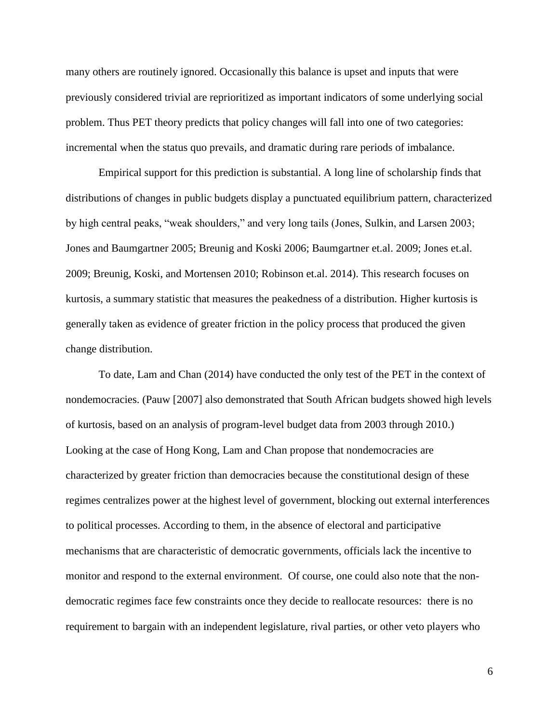many others are routinely ignored. Occasionally this balance is upset and inputs that were previously considered trivial are reprioritized as important indicators of some underlying social problem. Thus PET theory predicts that policy changes will fall into one of two categories: incremental when the status quo prevails, and dramatic during rare periods of imbalance.

Empirical support for this prediction is substantial. A long line of scholarship finds that distributions of changes in public budgets display a punctuated equilibrium pattern, characterized by high central peaks, "weak shoulders," and very long tails (Jones, Sulkin, and Larsen 2003; Jones and Baumgartner 2005; Breunig and Koski 2006; Baumgartner et.al. 2009; Jones et.al. 2009; Breunig, Koski, and Mortensen 2010; Robinson et.al. 2014). This research focuses on kurtosis, a summary statistic that measures the peakedness of a distribution. Higher kurtosis is generally taken as evidence of greater friction in the policy process that produced the given change distribution.

To date, Lam and Chan (2014) have conducted the only test of the PET in the context of nondemocracies. (Pauw [2007] also demonstrated that South African budgets showed high levels of kurtosis, based on an analysis of program-level budget data from 2003 through 2010.) Looking at the case of Hong Kong, Lam and Chan propose that nondemocracies are characterized by greater friction than democracies because the constitutional design of these regimes centralizes power at the highest level of government, blocking out external interferences to political processes. According to them, in the absence of electoral and participative mechanisms that are characteristic of democratic governments, officials lack the incentive to monitor and respond to the external environment. Of course, one could also note that the nondemocratic regimes face few constraints once they decide to reallocate resources: there is no requirement to bargain with an independent legislature, rival parties, or other veto players who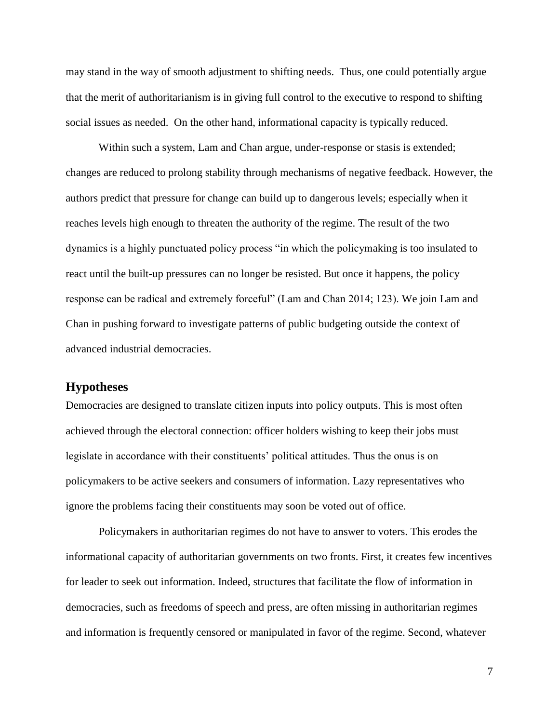may stand in the way of smooth adjustment to shifting needs. Thus, one could potentially argue that the merit of authoritarianism is in giving full control to the executive to respond to shifting social issues as needed. On the other hand, informational capacity is typically reduced.

Within such a system, Lam and Chan argue, under-response or stasis is extended; changes are reduced to prolong stability through mechanisms of negative feedback. However, the authors predict that pressure for change can build up to dangerous levels; especially when it reaches levels high enough to threaten the authority of the regime. The result of the two dynamics is a highly punctuated policy process "in which the policymaking is too insulated to react until the built-up pressures can no longer be resisted. But once it happens, the policy response can be radical and extremely forceful" (Lam and Chan 2014; 123). We join Lam and Chan in pushing forward to investigate patterns of public budgeting outside the context of advanced industrial democracies.

# **Hypotheses**

Democracies are designed to translate citizen inputs into policy outputs. This is most often achieved through the electoral connection: officer holders wishing to keep their jobs must legislate in accordance with their constituents' political attitudes. Thus the onus is on policymakers to be active seekers and consumers of information. Lazy representatives who ignore the problems facing their constituents may soon be voted out of office.

Policymakers in authoritarian regimes do not have to answer to voters. This erodes the informational capacity of authoritarian governments on two fronts. First, it creates few incentives for leader to seek out information. Indeed, structures that facilitate the flow of information in democracies, such as freedoms of speech and press, are often missing in authoritarian regimes and information is frequently censored or manipulated in favor of the regime. Second, whatever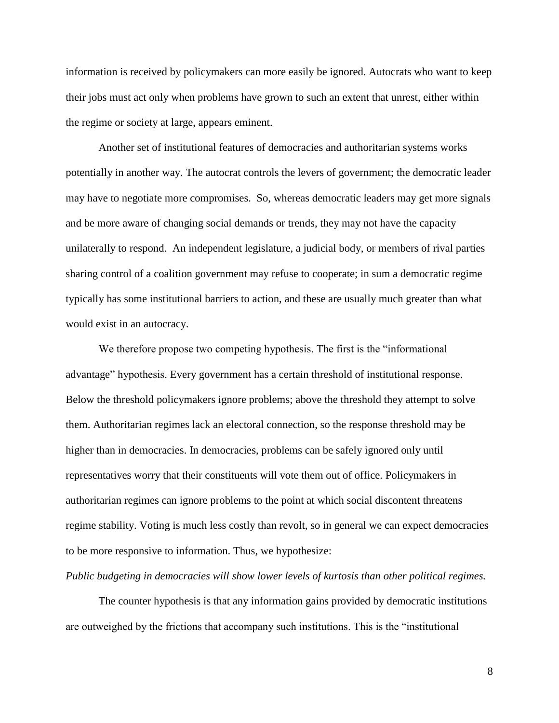information is received by policymakers can more easily be ignored. Autocrats who want to keep their jobs must act only when problems have grown to such an extent that unrest, either within the regime or society at large, appears eminent.

Another set of institutional features of democracies and authoritarian systems works potentially in another way. The autocrat controls the levers of government; the democratic leader may have to negotiate more compromises. So, whereas democratic leaders may get more signals and be more aware of changing social demands or trends, they may not have the capacity unilaterally to respond. An independent legislature, a judicial body, or members of rival parties sharing control of a coalition government may refuse to cooperate; in sum a democratic regime typically has some institutional barriers to action, and these are usually much greater than what would exist in an autocracy.

We therefore propose two competing hypothesis. The first is the "informational advantage" hypothesis. Every government has a certain threshold of institutional response. Below the threshold policymakers ignore problems; above the threshold they attempt to solve them. Authoritarian regimes lack an electoral connection, so the response threshold may be higher than in democracies. In democracies, problems can be safely ignored only until representatives worry that their constituents will vote them out of office. Policymakers in authoritarian regimes can ignore problems to the point at which social discontent threatens regime stability. Voting is much less costly than revolt, so in general we can expect democracies to be more responsive to information. Thus, we hypothesize:

#### *Public budgeting in democracies will show lower levels of kurtosis than other political regimes.*

The counter hypothesis is that any information gains provided by democratic institutions are outweighed by the frictions that accompany such institutions. This is the "institutional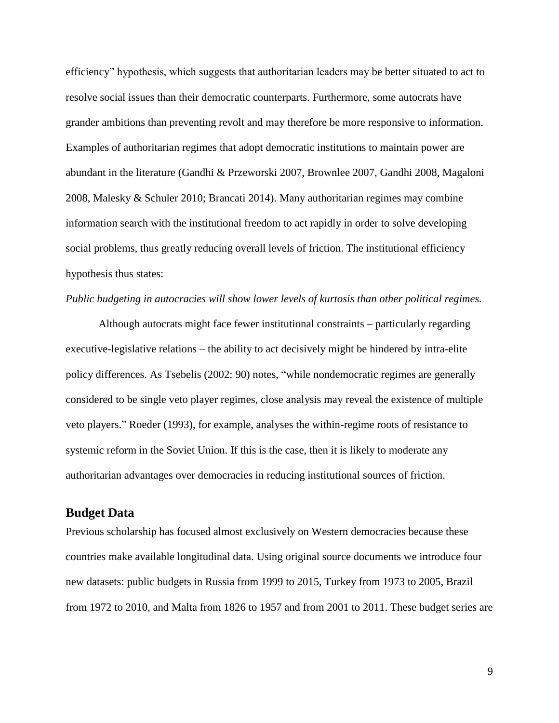efficiency" hypothesis, which suggests that authoritarian leaders may be better situated to act to resolve social issues than their democratic counterparts. Furthermore, some autocrats have grander ambitions than preventing revolt and may therefore be more responsive to information. Examples of authoritarian regimes that adopt democratic institutions to maintain power are abundant in the literature (Gandhi & Przeworski 2007, Brownlee 2007, Gandhi 2008, Magaloni 2008, Malesky & Schuler 2010; Brancati 2014). Many authoritarian regimes may combine information search with the institutional freedom to act rapidly in order to solve developing social problems, thus greatly reducing overall levels of friction. The institutional efficiency hypothesis thus states:

#### *Public budgeting in autocracies will show lower levels of kurtosis than other political regimes.*

Although autocrats might face fewer institutional constraints – particularly regarding executive-legislative relations – the ability to act decisively might be hindered by intra-elite policy differences. As Tsebelis (2002: 90) notes, "while nondemocratic regimes are generally considered to be single veto player regimes, close analysis may reveal the existence of multiple veto players." Roeder (1993), for example, analyses the within-regime roots of resistance to systemic reform in the Soviet Union. If this is the case, then it is likely to moderate any authoritarian advantages over democracies in reducing institutional sources of friction.

## **Budget Data**

Previous scholarship has focused almost exclusively on Western democracies because these countries make available longitudinal data. Using original source documents we introduce four new datasets: public budgets in Russia from 1999 to 2015, Turkey from 1973 to 2005, Brazil from 1972 to 2010, and Malta from 1826 to 1957 and from 2001 to 2011. These budget series are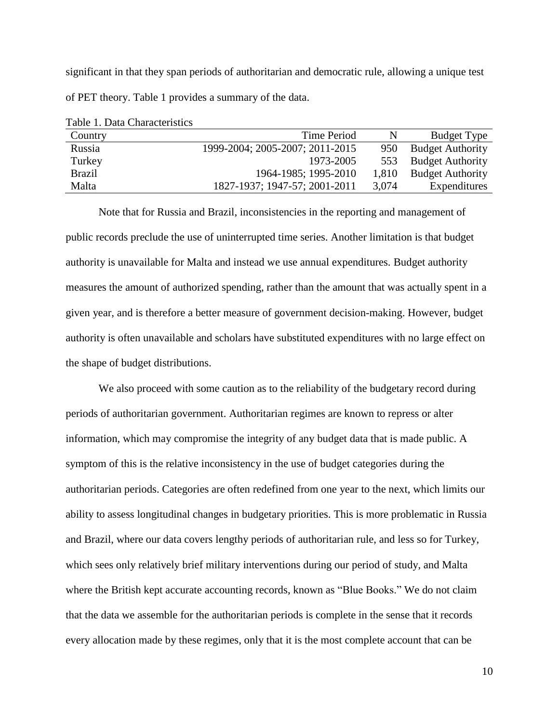significant in that they span periods of authoritarian and democratic rule, allowing a unique test of PET theory. Table 1 provides a summary of the data.

| Country       | <b>Time Period</b>              | N     | Budget Type             |
|---------------|---------------------------------|-------|-------------------------|
| Russia        | 1999-2004; 2005-2007; 2011-2015 | 950   | <b>Budget Authority</b> |
| Turkey        | 1973-2005                       | 553   | <b>Budget Authority</b> |
| <b>Brazil</b> | 1964-1985; 1995-2010            | 1,810 | <b>Budget Authority</b> |
| Malta         | 1827-1937; 1947-57; 2001-2011   | 3,074 | Expenditures            |

Table 1. Data Characteristics

Note that for Russia and Brazil, inconsistencies in the reporting and management of public records preclude the use of uninterrupted time series. Another limitation is that budget authority is unavailable for Malta and instead we use annual expenditures. Budget authority measures the amount of authorized spending, rather than the amount that was actually spent in a given year, and is therefore a better measure of government decision-making. However, budget authority is often unavailable and scholars have substituted expenditures with no large effect on the shape of budget distributions.

We also proceed with some caution as to the reliability of the budgetary record during periods of authoritarian government. Authoritarian regimes are known to repress or alter information, which may compromise the integrity of any budget data that is made public. A symptom of this is the relative inconsistency in the use of budget categories during the authoritarian periods. Categories are often redefined from one year to the next, which limits our ability to assess longitudinal changes in budgetary priorities. This is more problematic in Russia and Brazil, where our data covers lengthy periods of authoritarian rule, and less so for Turkey, which sees only relatively brief military interventions during our period of study, and Malta where the British kept accurate accounting records, known as "Blue Books." We do not claim that the data we assemble for the authoritarian periods is complete in the sense that it records every allocation made by these regimes, only that it is the most complete account that can be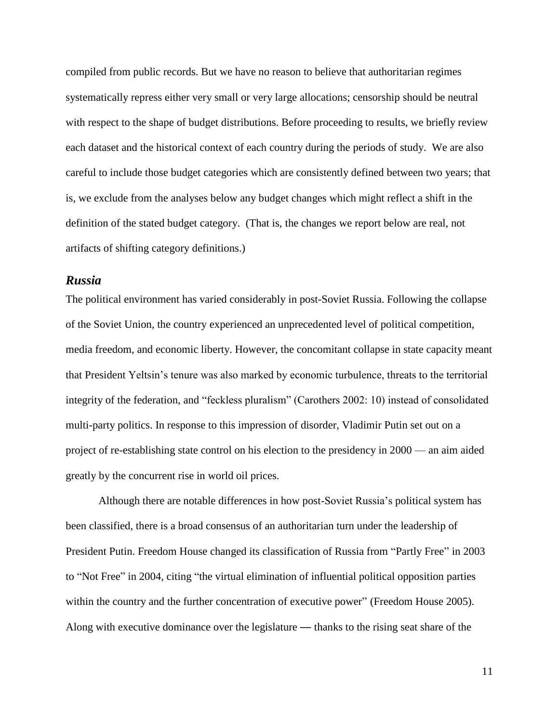compiled from public records. But we have no reason to believe that authoritarian regimes systematically repress either very small or very large allocations; censorship should be neutral with respect to the shape of budget distributions. Before proceeding to results, we briefly review each dataset and the historical context of each country during the periods of study. We are also careful to include those budget categories which are consistently defined between two years; that is, we exclude from the analyses below any budget changes which might reflect a shift in the definition of the stated budget category. (That is, the changes we report below are real, not artifacts of shifting category definitions.)

### *Russia*

The political environment has varied considerably in post-Soviet Russia. Following the collapse of the Soviet Union, the country experienced an unprecedented level of political competition, media freedom, and economic liberty. However, the concomitant collapse in state capacity meant that President Yeltsin's tenure was also marked by economic turbulence, threats to the territorial integrity of the federation, and "feckless pluralism" (Carothers 2002: 10) instead of consolidated multi-party politics. In response to this impression of disorder, Vladimir Putin set out on a project of re-establishing state control on his election to the presidency in 2000 — an aim aided greatly by the concurrent rise in world oil prices.

Although there are notable differences in how post-Soviet Russia's political system has been classified, there is a broad consensus of an authoritarian turn under the leadership of President Putin. Freedom House changed its classification of Russia from "Partly Free" in 2003 to "Not Free" in 2004, citing "the virtual elimination of influential political opposition parties within the country and the further concentration of executive power" (Freedom House 2005). Along with executive dominance over the legislature — thanks to the rising seat share of the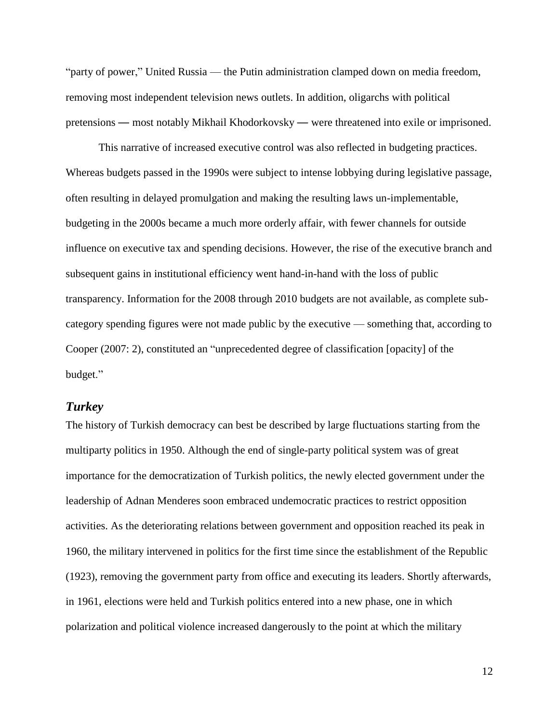"party of power," United Russia — the Putin administration clamped down on media freedom, removing most independent television news outlets. In addition, oligarchs with political pretensions — most notably Mikhail Khodorkovsky — were threatened into exile or imprisoned.

This narrative of increased executive control was also reflected in budgeting practices. Whereas budgets passed in the 1990s were subject to intense lobbying during legislative passage, often resulting in delayed promulgation and making the resulting laws un-implementable, budgeting in the 2000s became a much more orderly affair, with fewer channels for outside influence on executive tax and spending decisions. However, the rise of the executive branch and subsequent gains in institutional efficiency went hand-in-hand with the loss of public transparency. Information for the 2008 through 2010 budgets are not available, as complete subcategory spending figures were not made public by the executive — something that, according to Cooper (2007: 2), constituted an "unprecedented degree of classification [opacity] of the budget."

# *Turkey*

The history of Turkish democracy can best be described by large fluctuations starting from the multiparty politics in 1950. Although the end of single-party political system was of great importance for the democratization of Turkish politics, the newly elected government under the leadership of Adnan Menderes soon embraced undemocratic practices to restrict opposition activities. As the deteriorating relations between government and opposition reached its peak in 1960, the military intervened in politics for the first time since the establishment of the Republic (1923), removing the government party from office and executing its leaders. Shortly afterwards, in 1961, elections were held and Turkish politics entered into a new phase, one in which polarization and political violence increased dangerously to the point at which the military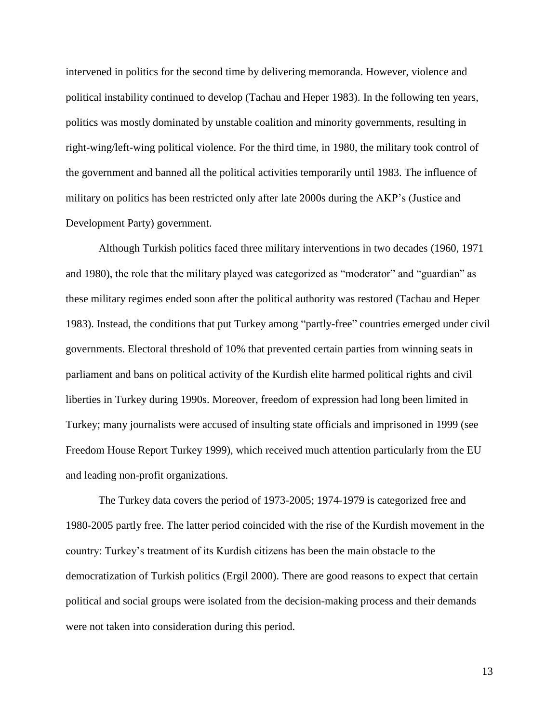intervened in politics for the second time by delivering memoranda. However, violence and political instability continued to develop (Tachau and Heper 1983). In the following ten years, politics was mostly dominated by unstable coalition and minority governments, resulting in right-wing/left-wing political violence. For the third time, in 1980, the military took control of the government and banned all the political activities temporarily until 1983. The influence of military on politics has been restricted only after late 2000s during the AKP's (Justice and Development Party) government.

Although Turkish politics faced three military interventions in two decades (1960, 1971 and 1980), the role that the military played was categorized as "moderator" and "guardian" as these military regimes ended soon after the political authority was restored (Tachau and Heper 1983). Instead, the conditions that put Turkey among "partly-free" countries emerged under civil governments. Electoral threshold of 10% that prevented certain parties from winning seats in parliament and bans on political activity of the Kurdish elite harmed political rights and civil liberties in Turkey during 1990s. Moreover, freedom of expression had long been limited in Turkey; many journalists were accused of insulting state officials and imprisoned in 1999 (see Freedom House Report Turkey 1999), which received much attention particularly from the EU and leading non-profit organizations.

The Turkey data covers the period of 1973-2005; 1974-1979 is categorized free and 1980-2005 partly free. The latter period coincided with the rise of the Kurdish movement in the country: Turkey's treatment of its Kurdish citizens has been the main obstacle to the democratization of Turkish politics (Ergil 2000). There are good reasons to expect that certain political and social groups were isolated from the decision-making process and their demands were not taken into consideration during this period.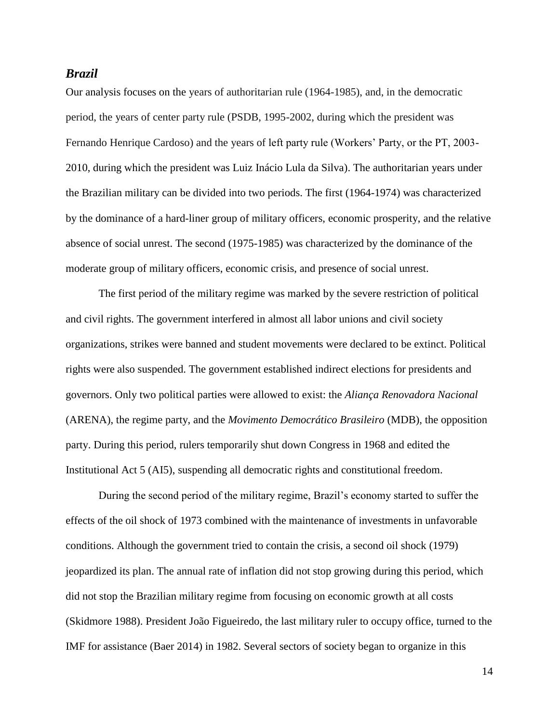#### *Brazil*

Our analysis focuses on the years of authoritarian rule (1964-1985), and, in the democratic period, the years of center party rule (PSDB, 1995-2002, during which the president was Fernando Henrique Cardoso) and the years of left party rule (Workers' Party, or the PT, 2003- 2010, during which the president was Luiz Inácio Lula da Silva). The authoritarian years under the Brazilian military can be divided into two periods. The first (1964-1974) was characterized by the dominance of a hard-liner group of military officers, economic prosperity, and the relative absence of social unrest. The second (1975-1985) was characterized by the dominance of the moderate group of military officers, economic crisis, and presence of social unrest.

The first period of the military regime was marked by the severe restriction of political and civil rights. The government interfered in almost all labor unions and civil society organizations, strikes were banned and student movements were declared to be extinct. Political rights were also suspended. The government established indirect elections for presidents and governors. Only two political parties were allowed to exist: the *Aliança Renovadora Nacional* (ARENA), the regime party, and the *Movimento Democrático Brasileiro* (MDB), the opposition party. During this period, rulers temporarily shut down Congress in 1968 and edited the Institutional Act 5 (AI5), suspending all democratic rights and constitutional freedom.

During the second period of the military regime, Brazil's economy started to suffer the effects of the oil shock of 1973 combined with the maintenance of investments in unfavorable conditions. Although the government tried to contain the crisis, a second oil shock (1979) jeopardized its plan. The annual rate of inflation did not stop growing during this period, which did not stop the Brazilian military regime from focusing on economic growth at all costs (Skidmore 1988). President João Figueiredo, the last military ruler to occupy office, turned to the IMF for assistance (Baer 2014) in 1982. Several sectors of society began to organize in this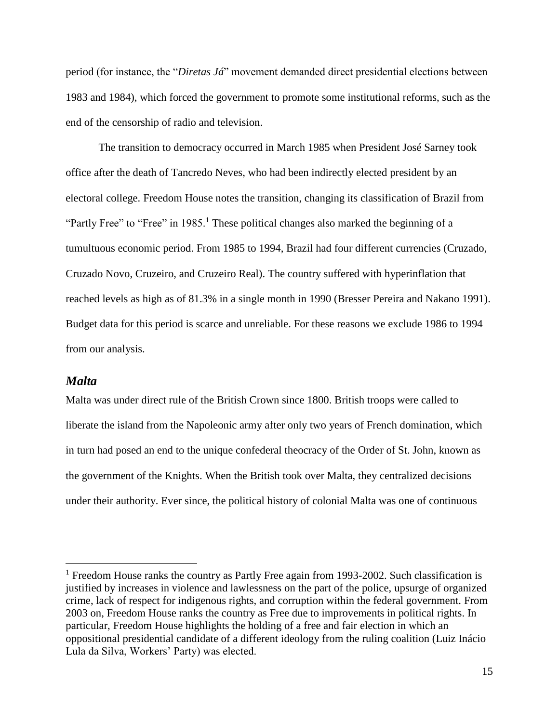period (for instance, the "*Diretas Já*" movement demanded direct presidential elections between 1983 and 1984), which forced the government to promote some institutional reforms, such as the end of the censorship of radio and television.

The transition to democracy occurred in March 1985 when President José Sarney took office after the death of Tancredo Neves, who had been indirectly elected president by an electoral college. Freedom House notes the transition, changing its classification of Brazil from "Partly Free" to "Free" in 1985.<sup>1</sup> These political changes also marked the beginning of a tumultuous economic period. From 1985 to 1994, Brazil had four different currencies (Cruzado, Cruzado Novo, Cruzeiro, and Cruzeiro Real). The country suffered with hyperinflation that reached levels as high as of 81.3% in a single month in 1990 (Bresser Pereira and Nakano 1991). Budget data for this period is scarce and unreliable. For these reasons we exclude 1986 to 1994 from our analysis.

### *Malta*

 $\overline{a}$ 

Malta was under direct rule of the British Crown since 1800. British troops were called to liberate the island from the Napoleonic army after only two years of French domination, which in turn had posed an end to the unique confederal theocracy of the Order of St. John, known as the government of the Knights. When the British took over Malta, they centralized decisions under their authority. Ever since, the political history of colonial Malta was one of continuous

 $<sup>1</sup>$  Freedom House ranks the country as Partly Free again from 1993-2002. Such classification is</sup> justified by increases in violence and lawlessness on the part of the police, upsurge of organized crime, lack of respect for indigenous rights, and corruption within the federal government. From 2003 on, Freedom House ranks the country as Free due to improvements in political rights. In particular, Freedom House highlights the holding of a free and fair election in which an oppositional presidential candidate of a different ideology from the ruling coalition (Luiz Inácio Lula da Silva, Workers' Party) was elected.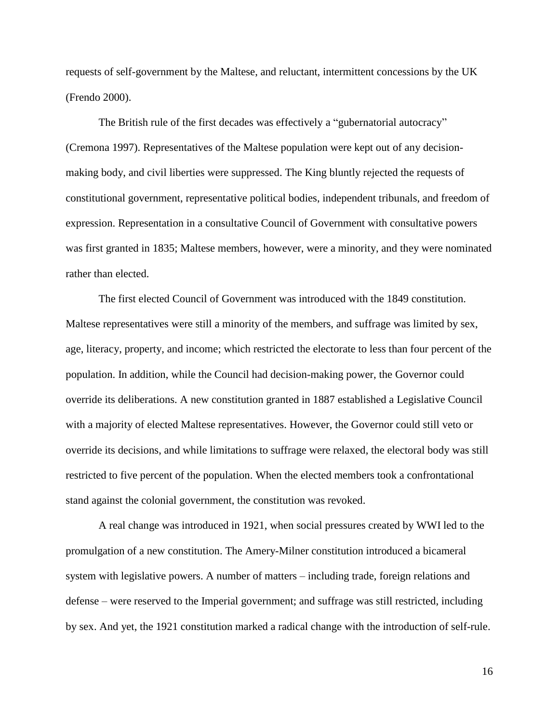requests of self-government by the Maltese, and reluctant, intermittent concessions by the UK (Frendo 2000).

The British rule of the first decades was effectively a "gubernatorial autocracy" (Cremona 1997). Representatives of the Maltese population were kept out of any decisionmaking body, and civil liberties were suppressed. The King bluntly rejected the requests of constitutional government, representative political bodies, independent tribunals, and freedom of expression. Representation in a consultative Council of Government with consultative powers was first granted in 1835; Maltese members, however, were a minority, and they were nominated rather than elected.

The first elected Council of Government was introduced with the 1849 constitution. Maltese representatives were still a minority of the members, and suffrage was limited by sex, age, literacy, property, and income; which restricted the electorate to less than four percent of the population. In addition, while the Council had decision-making power, the Governor could override its deliberations. A new constitution granted in 1887 established a Legislative Council with a majority of elected Maltese representatives. However, the Governor could still veto or override its decisions, and while limitations to suffrage were relaxed, the electoral body was still restricted to five percent of the population. When the elected members took a confrontational stand against the colonial government, the constitution was revoked.

A real change was introduced in 1921, when social pressures created by WWI led to the promulgation of a new constitution. The Amery-Milner constitution introduced a bicameral system with legislative powers. A number of matters – including trade, foreign relations and defense – were reserved to the Imperial government; and suffrage was still restricted, including by sex. And yet, the 1921 constitution marked a radical change with the introduction of self-rule.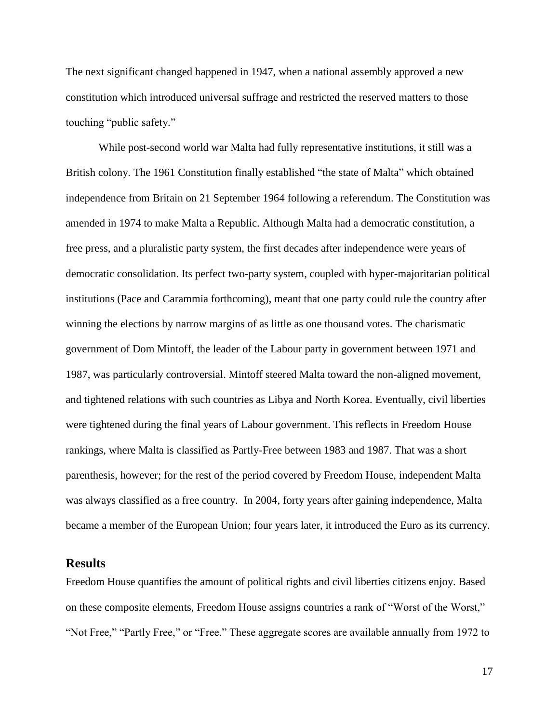The next significant changed happened in 1947, when a national assembly approved a new constitution which introduced universal suffrage and restricted the reserved matters to those touching "public safety."

While post-second world war Malta had fully representative institutions, it still was a British colony. The 1961 Constitution finally established "the state of Malta" which obtained independence from Britain on 21 September 1964 following a referendum. The Constitution was amended in 1974 to make Malta a Republic. Although Malta had a democratic constitution, a free press, and a pluralistic party system, the first decades after independence were years of democratic consolidation. Its perfect two-party system, coupled with hyper-majoritarian political institutions (Pace and Carammia forthcoming), meant that one party could rule the country after winning the elections by narrow margins of as little as one thousand votes. The charismatic government of Dom Mintoff, the leader of the Labour party in government between 1971 and 1987, was particularly controversial. Mintoff steered Malta toward the non-aligned movement, and tightened relations with such countries as Libya and North Korea. Eventually, civil liberties were tightened during the final years of Labour government. This reflects in Freedom House rankings, where Malta is classified as Partly-Free between 1983 and 1987. That was a short parenthesis, however; for the rest of the period covered by Freedom House, independent Malta was always classified as a free country. In 2004, forty years after gaining independence, Malta became a member of the European Union; four years later, it introduced the Euro as its currency.

# **Results**

Freedom House quantifies the amount of political rights and civil liberties citizens enjoy. Based on these composite elements, Freedom House assigns countries a rank of "Worst of the Worst," "Not Free," "Partly Free," or "Free." These aggregate scores are available annually from 1972 to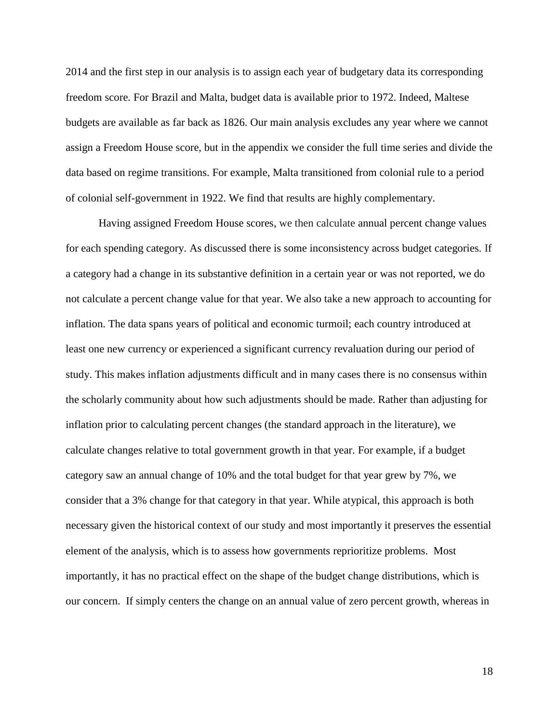2014 and the first step in our analysis is to assign each year of budgetary data its corresponding freedom score. For Brazil and Malta, budget data is available prior to 1972. Indeed, Maltese budgets are available as far back as 1826. Our main analysis excludes any year where we cannot assign a Freedom House score, but in the appendix we consider the full time series and divide the data based on regime transitions. For example, Malta transitioned from colonial rule to a period of colonial self-government in 1922. We find that results are highly complementary.

Having assigned Freedom House scores, we then calculate annual percent change values for each spending category. As discussed there is some inconsistency across budget categories. If a category had a change in its substantive definition in a certain year or was not reported, we do not calculate a percent change value for that year. We also take a new approach to accounting for inflation. The data spans years of political and economic turmoil; each country introduced at least one new currency or experienced a significant currency revaluation during our period of study. This makes inflation adjustments difficult and in many cases there is no consensus within the scholarly community about how such adjustments should be made. Rather than adjusting for inflation prior to calculating percent changes (the standard approach in the literature), we calculate changes relative to total government growth in that year. For example, if a budget category saw an annual change of 10% and the total budget for that year grew by 7%, we consider that a 3% change for that category in that year. While atypical, this approach is both necessary given the historical context of our study and most importantly it preserves the essential element of the analysis, which is to assess how governments reprioritize problems. Most importantly, it has no practical effect on the shape of the budget change distributions, which is our concern. If simply centers the change on an annual value of zero percent growth, whereas in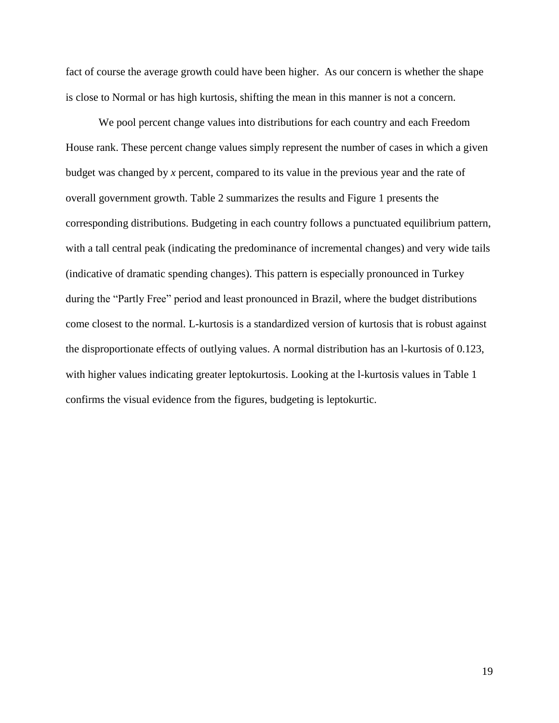fact of course the average growth could have been higher. As our concern is whether the shape is close to Normal or has high kurtosis, shifting the mean in this manner is not a concern.

We pool percent change values into distributions for each country and each Freedom House rank. These percent change values simply represent the number of cases in which a given budget was changed by *x* percent, compared to its value in the previous year and the rate of overall government growth. Table 2 summarizes the results and Figure 1 presents the corresponding distributions. Budgeting in each country follows a punctuated equilibrium pattern, with a tall central peak (indicating the predominance of incremental changes) and very wide tails (indicative of dramatic spending changes). This pattern is especially pronounced in Turkey during the "Partly Free" period and least pronounced in Brazil, where the budget distributions come closest to the normal. L-kurtosis is a standardized version of kurtosis that is robust against the disproportionate effects of outlying values. A normal distribution has an l-kurtosis of 0.123, with higher values indicating greater leptokurtosis. Looking at the l-kurtosis values in Table 1 confirms the visual evidence from the figures, budgeting is leptokurtic.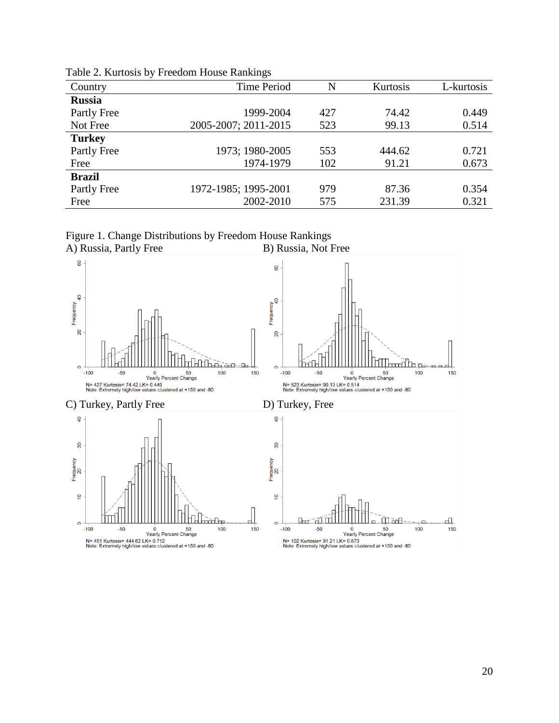|               | ັ                    |     |          |            |
|---------------|----------------------|-----|----------|------------|
| Country       | <b>Time Period</b>   | N   | Kurtosis | L-kurtosis |
| <b>Russia</b> |                      |     |          |            |
| Partly Free   | 1999-2004            | 427 | 74.42    | 0.449      |
| Not Free      | 2005-2007; 2011-2015 | 523 | 99.13    | 0.514      |
| <b>Turkey</b> |                      |     |          |            |
| Partly Free   | 1973; 1980-2005      | 553 | 444.62   | 0.721      |
| Free          | 1974-1979            | 102 | 91.21    | 0.673      |
| <b>Brazil</b> |                      |     |          |            |
| Partly Free   | 1972-1985; 1995-2001 | 979 | 87.36    | 0.354      |
| Free          | 2002-2010            | 575 | 231.39   | 0.321      |
|               |                      |     |          |            |

Table 2. Kurtosis by Freedom House Rankings



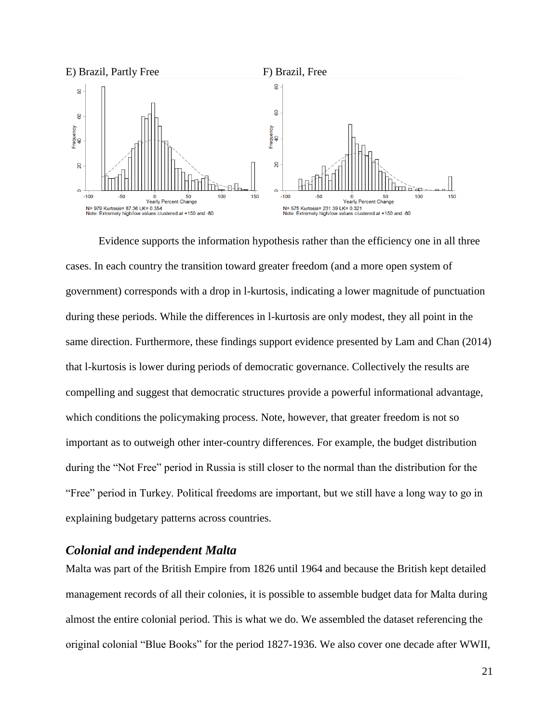

Evidence supports the information hypothesis rather than the efficiency one in all three cases. In each country the transition toward greater freedom (and a more open system of government) corresponds with a drop in l-kurtosis, indicating a lower magnitude of punctuation during these periods. While the differences in l-kurtosis are only modest, they all point in the same direction. Furthermore, these findings support evidence presented by Lam and Chan (2014) that l-kurtosis is lower during periods of democratic governance. Collectively the results are compelling and suggest that democratic structures provide a powerful informational advantage, which conditions the policymaking process. Note, however, that greater freedom is not so important as to outweigh other inter-country differences. For example, the budget distribution during the "Not Free" period in Russia is still closer to the normal than the distribution for the "Free" period in Turkey. Political freedoms are important, but we still have a long way to go in explaining budgetary patterns across countries.

# *Colonial and independent Malta*

Malta was part of the British Empire from 1826 until 1964 and because the British kept detailed management records of all their colonies, it is possible to assemble budget data for Malta during almost the entire colonial period. This is what we do. We assembled the dataset referencing the original colonial "Blue Books" for the period 1827-1936. We also cover one decade after WWII,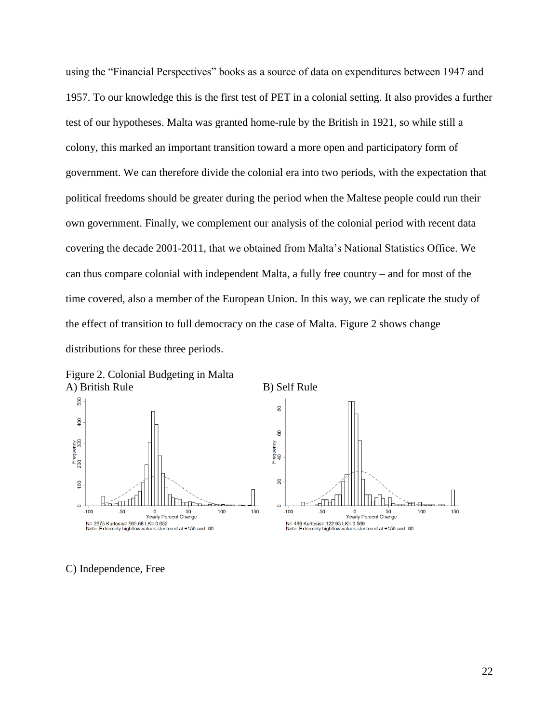using the "Financial Perspectives" books as a source of data on expenditures between 1947 and 1957. To our knowledge this is the first test of PET in a colonial setting. It also provides a further test of our hypotheses. Malta was granted home-rule by the British in 1921, so while still a colony, this marked an important transition toward a more open and participatory form of government. We can therefore divide the colonial era into two periods, with the expectation that political freedoms should be greater during the period when the Maltese people could run their own government. Finally, we complement our analysis of the colonial period with recent data covering the decade 2001-2011, that we obtained from Malta's National Statistics Office. We can thus compare colonial with independent Malta, a fully free country – and for most of the time covered, also a member of the European Union. In this way, we can replicate the study of the effect of transition to full democracy on the case of Malta. Figure 2 shows change distributions for these three periods.



Figure 2. Colonial Budgeting in Malta

C) Independence, Free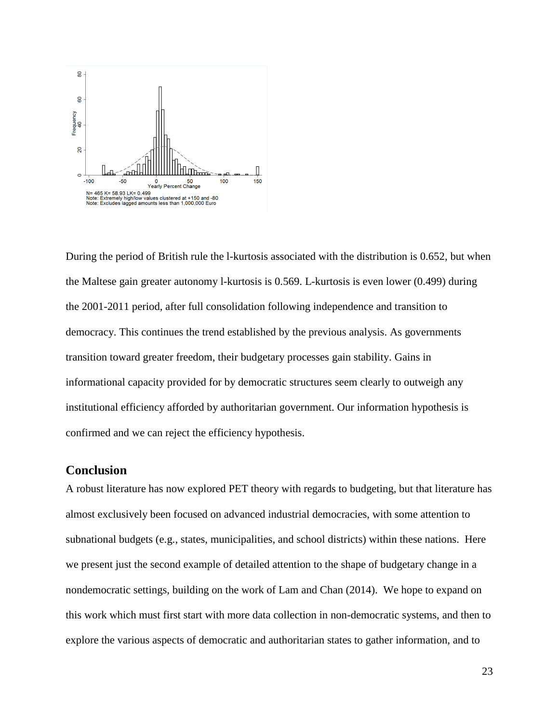

During the period of British rule the l-kurtosis associated with the distribution is 0.652, but when the Maltese gain greater autonomy l-kurtosis is 0.569. L-kurtosis is even lower (0.499) during the 2001-2011 period, after full consolidation following independence and transition to democracy. This continues the trend established by the previous analysis. As governments transition toward greater freedom, their budgetary processes gain stability. Gains in informational capacity provided for by democratic structures seem clearly to outweigh any institutional efficiency afforded by authoritarian government. Our information hypothesis is confirmed and we can reject the efficiency hypothesis.

# **Conclusion**

A robust literature has now explored PET theory with regards to budgeting, but that literature has almost exclusively been focused on advanced industrial democracies, with some attention to subnational budgets (e.g., states, municipalities, and school districts) within these nations. Here we present just the second example of detailed attention to the shape of budgetary change in a nondemocratic settings, building on the work of Lam and Chan (2014). We hope to expand on this work which must first start with more data collection in non-democratic systems, and then to explore the various aspects of democratic and authoritarian states to gather information, and to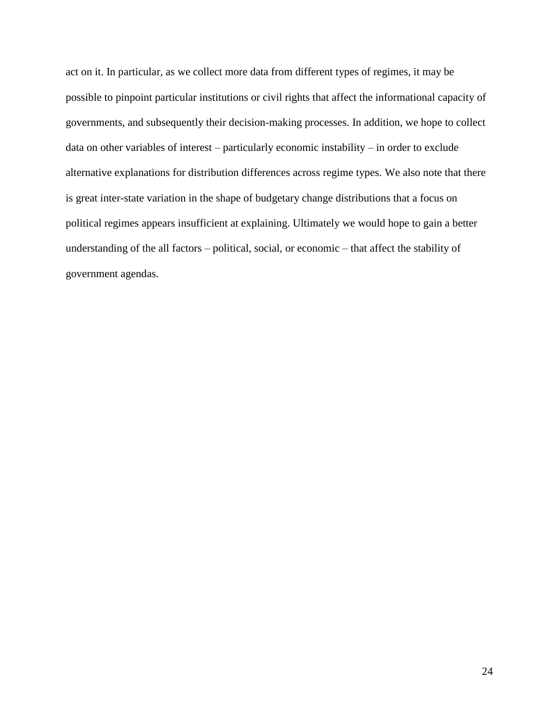act on it. In particular, as we collect more data from different types of regimes, it may be possible to pinpoint particular institutions or civil rights that affect the informational capacity of governments, and subsequently their decision-making processes. In addition, we hope to collect data on other variables of interest – particularly economic instability – in order to exclude alternative explanations for distribution differences across regime types. We also note that there is great inter-state variation in the shape of budgetary change distributions that a focus on political regimes appears insufficient at explaining. Ultimately we would hope to gain a better understanding of the all factors – political, social, or economic – that affect the stability of government agendas.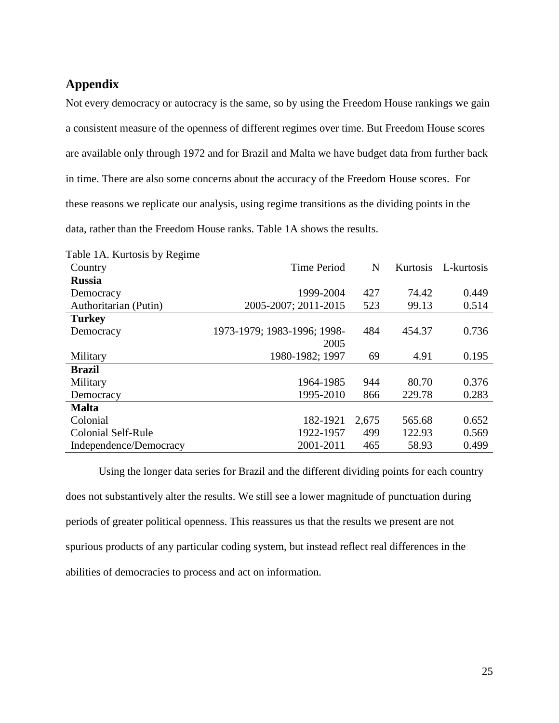# **Appendix**

Not every democracy or autocracy is the same, so by using the Freedom House rankings we gain a consistent measure of the openness of different regimes over time. But Freedom House scores are available only through 1972 and for Brazil and Malta we have budget data from further back in time. There are also some concerns about the accuracy of the Freedom House scores. For these reasons we replicate our analysis, using regime transitions as the dividing points in the data, rather than the Freedom House ranks. Table 1A shows the results.

| Country                | <b>Time Period</b>          | N     | Kurtosis | L-kurtosis |
|------------------------|-----------------------------|-------|----------|------------|
| <b>Russia</b>          |                             |       |          |            |
| Democracy              | 1999-2004                   | 427   | 74.42    | 0.449      |
| Authoritarian (Putin)  | 2005-2007; 2011-2015        | 523   | 99.13    | 0.514      |
| <b>Turkey</b>          |                             |       |          |            |
| Democracy              | 1973-1979; 1983-1996; 1998- | 484   | 454.37   | 0.736      |
|                        | 2005                        |       |          |            |
| Military               | 1980-1982; 1997             | 69    | 4.91     | 0.195      |
| <b>Brazil</b>          |                             |       |          |            |
| Military               | 1964-1985                   | 944   | 80.70    | 0.376      |
| Democracy              | 1995-2010                   | 866   | 229.78   | 0.283      |
| <b>Malta</b>           |                             |       |          |            |
| Colonial               | 182-1921                    | 2,675 | 565.68   | 0.652      |
| Colonial Self-Rule     | 1922-1957                   | 499   | 122.93   | 0.569      |
| Independence/Democracy | 2001-2011                   | 465   | 58.93    | 0.499      |

|  |  | Table 1A. Kurtosis by Regime |
|--|--|------------------------------|
|--|--|------------------------------|

Using the longer data series for Brazil and the different dividing points for each country does not substantively alter the results. We still see a lower magnitude of punctuation during periods of greater political openness. This reassures us that the results we present are not spurious products of any particular coding system, but instead reflect real differences in the abilities of democracies to process and act on information.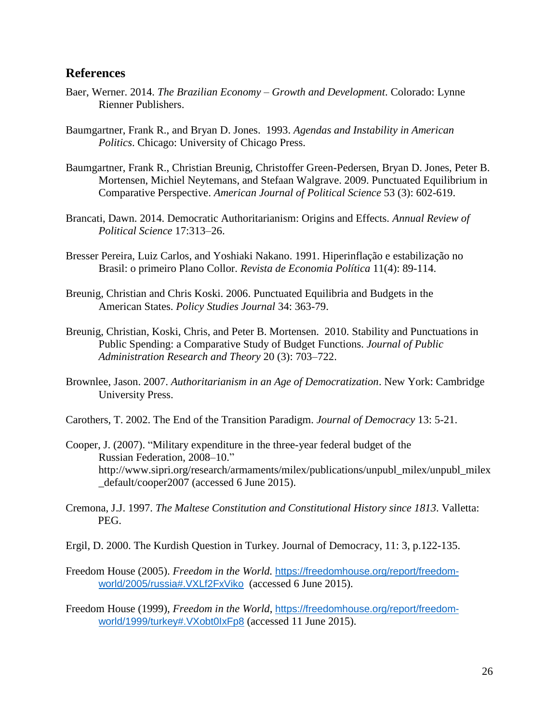### **References**

- Baer, Werner. 2014. *The Brazilian Economy – Growth and Development*. Colorado: Lynne Rienner Publishers.
- Baumgartner, Frank R., and Bryan D. Jones. 1993. *Agendas and Instability in American Politics*. Chicago: University of Chicago Press.
- Baumgartner, Frank R., Christian Breunig, Christoffer Green-Pedersen, Bryan D. Jones, Peter B. Mortensen, Michiel Neytemans, and Stefaan Walgrave. 2009. Punctuated Equilibrium in Comparative Perspective. *American Journal of Political Science* 53 (3): 602-619.
- Brancati, Dawn. 2014. Democratic Authoritarianism: Origins and Effects. *Annual Review of Political Science* 17:313–26.
- Bresser Pereira, Luiz Carlos, and Yoshiaki Nakano. 1991. Hiperinflação e estabilização no Brasil: o primeiro Plano Collor. *Revista de Economia Política* 11(4): 89-114.
- Breunig, Christian and Chris Koski. 2006. Punctuated Equilibria and Budgets in the American States. *Policy Studies Journal* 34: 363-79.
- Breunig, Christian, Koski, Chris, and Peter B. Mortensen. 2010. Stability and Punctuations in Public Spending: a Comparative Study of Budget Functions. *Journal of Public Administration Research and Theory* 20 (3): 703–722.
- Brownlee, Jason. 2007. *Authoritarianism in an Age of Democratization*. New York: Cambridge University Press.
- Carothers, T. 2002. The End of the Transition Paradigm. *Journal of Democracy* 13: 5-21.
- Cooper, J. (2007). "Military expenditure in the three-year federal budget of the Russian Federation, 2008–10." http://www.sipri.org/research/armaments/milex/publications/unpubl\_milex/unpubl\_milex \_default/cooper2007 (accessed 6 June 2015).
- Cremona, J.J. 1997. *The Maltese Constitution and Constitutional History since 1813*. Valletta: PEG.
- Ergil, D. 2000. The Kurdish Question in Turkey. Journal of Democracy, 11: 3, p.122-135.
- Freedom House (2005). *Freedom in the World.* [https://freedomhouse.org/report/freedom](https://freedomhouse.org/report/freedom-world/2005/russia#.VXLf2FxViko)[world/2005/russia#.VXLf2FxViko](https://freedomhouse.org/report/freedom-world/2005/russia#.VXLf2FxViko) (accessed 6 June 2015).
- Freedom House (1999), *Freedom in the World*, [https://freedomhouse.org/report/freedom](https://freedomhouse.org/report/freedom-world/1999/turkey#.VXobt0IxFp8)[world/1999/turkey#.VXobt0IxFp8](https://freedomhouse.org/report/freedom-world/1999/turkey#.VXobt0IxFp8) (accessed 11 June 2015).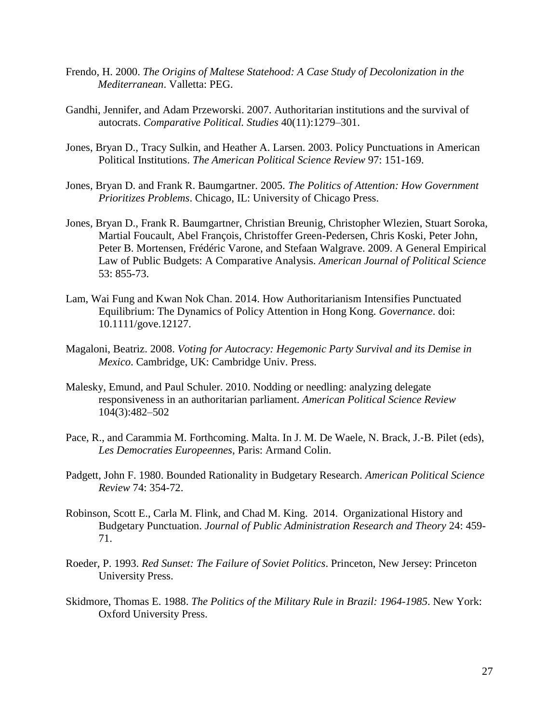- Frendo, H. 2000. *The Origins of Maltese Statehood: A Case Study of Decolonization in the Mediterranean*. Valletta: PEG.
- Gandhi, Jennifer, and Adam Przeworski. 2007. Authoritarian institutions and the survival of autocrats. *Comparative Political. Studies* 40(11):1279–301.
- Jones, Bryan D., Tracy Sulkin, and Heather A. Larsen. 2003. Policy Punctuations in American Political Institutions. *The American Political Science Review* 97: 151-169.
- Jones, Bryan D. and Frank R. Baumgartner. 2005. *The Politics of Attention: How Government Prioritizes Problems*. Chicago, IL: University of Chicago Press.
- Jones, Bryan D., Frank R. Baumgartner, Christian Breunig, Christopher Wlezien, Stuart Soroka, Martial Foucault, Abel François, Christoffer Green-Pedersen, Chris Koski, Peter John, Peter B. Mortensen, Frédéric Varone, and Stefaan Walgrave. 2009. A General Empirical Law of Public Budgets: A Comparative Analysis. *American Journal of Political Science* 53: 855-73.
- Lam, Wai Fung and Kwan Nok Chan. 2014. How Authoritarianism Intensifies Punctuated Equilibrium: The Dynamics of Policy Attention in Hong Kong. *Governance*. doi: 10.1111/gove.12127.
- Magaloni, Beatriz. 2008. *Voting for Autocracy: Hegemonic Party Survival and its Demise in Mexico*. Cambridge, UK: Cambridge Univ. Press.
- Malesky, Emund, and Paul Schuler. 2010. Nodding or needling: analyzing delegate responsiveness in an authoritarian parliament. *American Political Science Review* 104(3):482–502
- Pace, R., and Carammia M. Forthcoming. Malta. In J. M. De Waele, N. Brack, J.‐B. Pilet (eds), *Les Democraties Europeennes*, Paris: Armand Colin.
- Padgett, John F. 1980. Bounded Rationality in Budgetary Research. *American Political Science Review* 74: 354-72.
- Robinson, Scott E., Carla M. Flink, and Chad M. King. 2014. Organizational History and Budgetary Punctuation. *Journal of Public Administration Research and Theory* 24: 459- 71.
- Roeder, P. 1993. *Red Sunset: The Failure of Soviet Politics*. Princeton, New Jersey: Princeton University Press.
- Skidmore, Thomas E. 1988. *The Politics of the Military Rule in Brazil: 1964-1985*. New York: Oxford University Press.